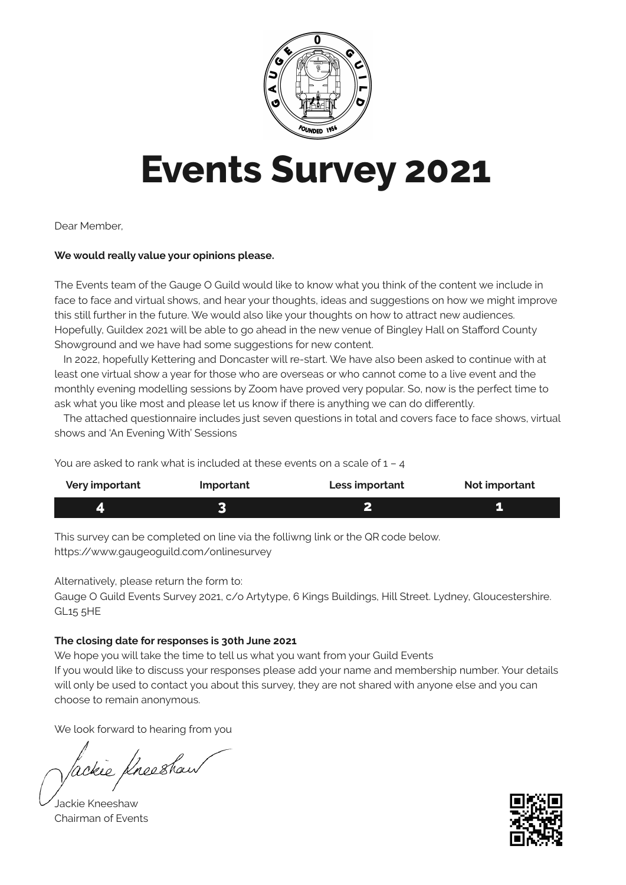

# **Events Survey 2021**

Dear Member,

#### **We would really value your opinions please.**

The Events team of the Gauge O Guild would like to know what you think of the content we include in face to face and virtual shows, and hear your thoughts, ideas and suggestions on how we might improve this still further in the future. We would also like your thoughts on how to attract new audiences. Hopefully, Guildex 2021 will be able to go ahead in the new venue of Bingley Hall on Stafford County Showground and we have had some suggestions for new content.

In 2022, hopefully Kettering and Doncaster will re-start. We have also been asked to continue with at least one virtual show a year for those who are overseas or who cannot come to a live event and the monthly evening modelling sessions by Zoom have proved very popular. So, now is the perfect time to ask what you like most and please let us know if there is anything we can do differently.

The attached questionnaire includes just seven questions in total and covers face to face shows, virtual shows and 'An Evening With' Sessions

You are asked to rank what is included at these events on a scale of 1 – 4

| Very important | <b>Important</b> | Less important | Not important |
|----------------|------------------|----------------|---------------|
|                |                  |                |               |

This survey can be completed on line via the folliwng link or the QR code below. https://www.gaugeoguild.com/onlinesurvey

Alternatively, please return the form to:

Gauge O Guild Events Survey 2021, c/o Artytype, 6 Kings Buildings, Hill Street. Lydney, Gloucestershire. GL15 5HE

#### **The closing date for responses is 30th June 2021**

We hope you will take the time to tell us what you want from your Guild Events If you would like to discuss your responses please add your name and membership number. Your details will only be used to contact you about this survey, they are not shared with anyone else and you can choose to remain anonymous.

We look forward to hearing from you

ackie Kneeshaw

Jackie Kneeshaw Chairman of Events

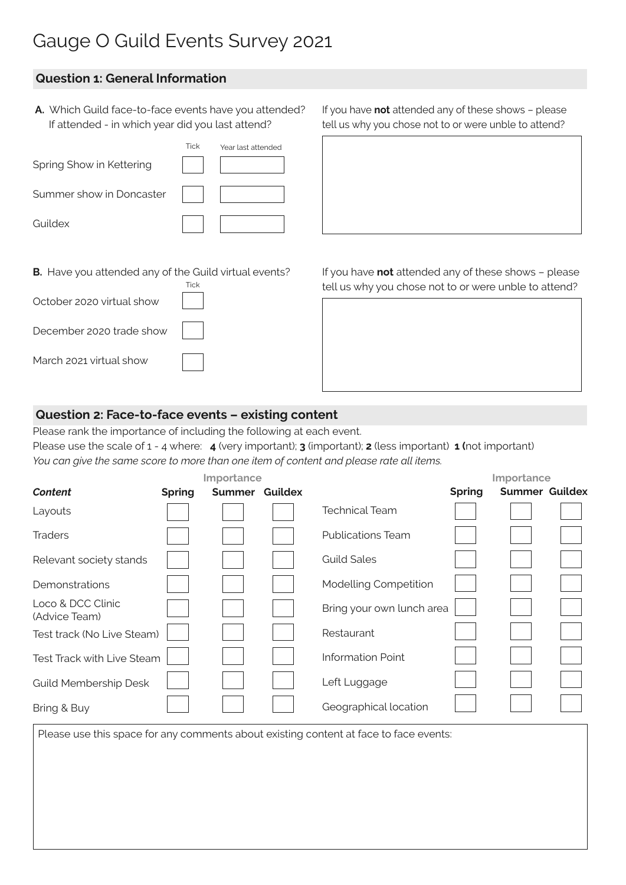# Gauge O Guild Events Survey 2021

# **Question 1: General Information**

 **A.** Which Guild face-to-face events have you attended? If attended - in which year did you last attend?

|                          | <b>Tick</b> | Year last attended |
|--------------------------|-------------|--------------------|
| Spring Show in Kettering |             |                    |
| Summer show in Doncaster |             |                    |
| Guildex                  |             |                    |
|                          |             |                    |

**B.** Have you attended any of the Guild virtual events?

October 2020 virtual show

December 2020 trade show

March 2021 virtual show

If you have **not** attended any of these shows – please tell us why you chose not to or were unble to attend?

If you have **not** attended any of these shows – please tell us why you chose not to or were unble to attend?

# **Question 2: Face-to-face events – existing content**

**Tick** 

Please rank the importance of including the following at each event.

Please use the scale of 1 - 4 where: **4** (very important); **3** (important); **2** (less important) **1 (**not important) *You can give the same score to more than one item of content and please rate all items.*

| Importance                         |               |                |  | Importance                |               |                       |  |
|------------------------------------|---------------|----------------|--|---------------------------|---------------|-----------------------|--|
| Content                            | <b>Spring</b> | Summer Guildex |  |                           | <b>Spring</b> | <b>Summer Guildex</b> |  |
| Layouts                            |               |                |  | <b>Technical Team</b>     |               |                       |  |
| <b>Traders</b>                     |               |                |  | <b>Publications Team</b>  |               |                       |  |
| Relevant society stands            |               |                |  | <b>Guild Sales</b>        |               |                       |  |
| Demonstrations                     |               |                |  | Modelling Competition     |               |                       |  |
| Loco & DCC Clinic<br>(Advice Team) |               |                |  | Bring your own lunch area |               |                       |  |
| Test track (No Live Steam)         |               |                |  | Restaurant                |               |                       |  |
| Test Track with Live Steam         |               |                |  | <b>Information Point</b>  |               |                       |  |
| <b>Guild Membership Desk</b>       |               |                |  | Left Luggage              |               |                       |  |
| Bring & Buy                        |               |                |  | Geographical location     |               |                       |  |

Please use this space for any comments about existing content at face to face events: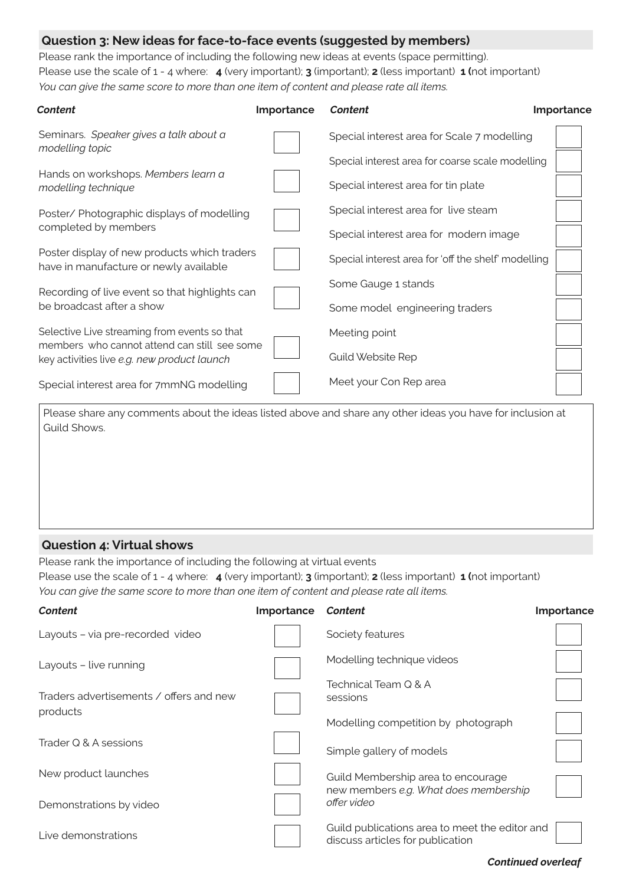## **Question 3: New ideas for face-to-face events (suggested by members)**

Please rank the importance of including the following new ideas at events (space permitting). Please use the scale of 1 - 4 where: **4** (very important); **3** (important); **2** (less important) **1 (**not important) *You can give the same score to more than one item of content and please rate all items.*

| Content                                                                                     | Importance | <b>Content</b>                                      | Importance |
|---------------------------------------------------------------------------------------------|------------|-----------------------------------------------------|------------|
| Seminars. Speaker gives a talk about a<br>modelling topic                                   |            | Special interest area for Scale 7 modelling         |            |
|                                                                                             |            | Special interest area for coarse scale modelling    |            |
| Hands on workshops. Members learn a<br>modelling technique                                  |            | Special interest area for tin plate                 |            |
| Poster/ Photographic displays of modelling                                                  |            | Special interest area for live steam                |            |
| completed by members                                                                        |            | Special interest area for modern image              |            |
| Poster display of new products which traders<br>have in manufacture or newly available      |            | Special interest area for 'off the shelf' modelling |            |
| Recording of live event so that highlights can                                              |            | Some Gauge 1 stands                                 |            |
| be broadcast after a show                                                                   |            | Some model engineering traders                      |            |
| Selective Live streaming from events so that                                                |            | Meeting point                                       |            |
| members who cannot attend can still see some<br>key activities live e.g. new product launch |            | <b>Guild Website Rep</b>                            |            |
| Special interest area for 7mmNG modelling                                                   |            | Meet your Con Rep area                              |            |
|                                                                                             |            |                                                     |            |

Please share any comments about the ideas listed above and share any other ideas you have for inclusion at Guild Shows.

### **Question 4: Virtual shows**

Please rank the importance of including the following at virtual events Please use the scale of 1 - 4 where: **4** (very important); **3** (important); **2** (less important) **1 (**not important) *You can give the same score to more than one item of content and please rate all items.*

| <b>Content</b>                                      | Importance | Content                                                                            | Importance |
|-----------------------------------------------------|------------|------------------------------------------------------------------------------------|------------|
| Layouts - via pre-recorded video                    |            | Society features                                                                   |            |
| Layouts - live running                              |            | Modelling technique videos                                                         |            |
| Traders advertisements / offers and new<br>products |            | Technical Team Q & A<br>sessions                                                   |            |
|                                                     |            | Modelling competition by photograph                                                |            |
| Trader Q & A sessions                               |            | Simple gallery of models                                                           |            |
| New product launches                                |            | Guild Membership area to encourage<br>new members e.g. What does membership        |            |
| Demonstrations by video                             |            | offer video                                                                        |            |
| Live demonstrations                                 |            | Guild publications area to meet the editor and<br>discuss articles for publication |            |